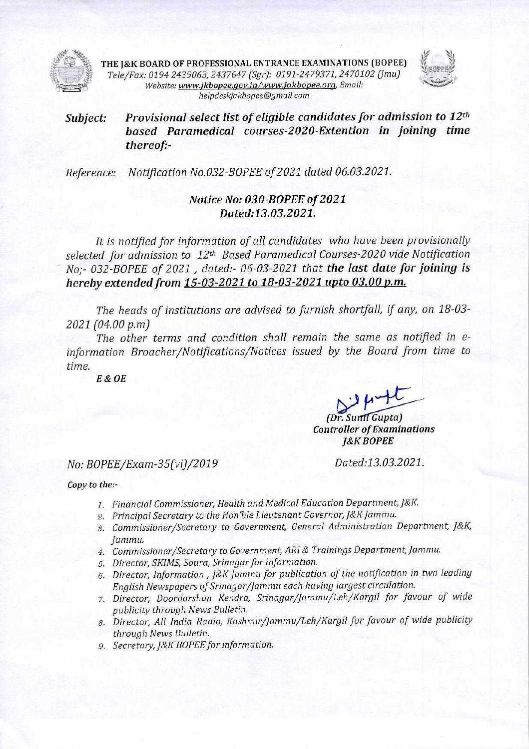

THE J&K BOARD OF PROFESSIONAL ENTRANCE EXAMINATIONS (BOPEE) \//<br>*Alternations in a property comparison and a proper and a final comparison in a property* **THE J&K BOARD OF PROFESSIONAL ENTRANCE EXAMINATIONS (BOPEE)**<br>Tele/Fax: 0194 2439063, 2437647 (Sgr): 0191-2479371, 2470102 (Jmu) *Website: www.jkbopee.gov.in/www.jakbopee.org, Email: helpdeskjakbapee@gmaiLcom* 



## *Subject: Provisional select list of eligible candidates for admission to 12th based Paramedical courses-2020-Extention in joining time thereof:-*

*Reference: Notification No.032-BOPEE of 2021 dated 06.03.2021.* 

## *Notice No: 030-BOPEE of 2021 Dated:13.03.2021.*

*It is notified for information of all candidates who have been provisionally selected for admission to 12th Based Paramedical Courses-2020 vide Notification No;- 032-BOPEE of 2021 , dated:- 06-03-2021 that the last date for joining is hereby extended from 15-03-2021 to 18-03-2021 upto 03.00 p.m.* 

*The heads of institutions are advised to furnish shortfall, if any, on 18-03- 2021 (04.00 p.m)* 

*The other terms and condition shall remain the same as notified in einformation Broacher/Notifications/Notices issued by the Board from time to time.* 

*E & OE* 

*1A%4L-- (Dr. Su Gupta) Controller of Examinations* 

*J&K BOPEE* 

## *No: BOPEE/Exam-35(vi)/2019 Dated:13.03.2021.*

*Copy to the:-* 

- *1. Financial Commissioner, Health and Medical Education Department, J&K.*
- *2. Principal Secretary to the Hon'ble Lieutenant Governor, J&K Jammu.*
- *3. Commissioner/Secretary to Government, General Administration Department, J&K, Jammu.*
- *4. Commissioner/Secretary to Government, ARI & Trainings Department, Jammu.*
- *5. Director, SKIMS, Soura, Srinagar for information.*
- *6. Director, Information , J&K Jammu for publication of the notification in two leading English Newspapers of Srinagar/Jammu each having largest circulation.*
- *7. Director, Doordarshan Kendra, Srinagar/Jammu/Leh/Kargil for favour of wide publicity through News Bulletin.*
- *8. Director, All India Radio, Kashmir/Jammu/Leh/Kargil for favour of wide publicity through News Bulletin.*
- *9. Secretary, J&K BOPEE for information.*